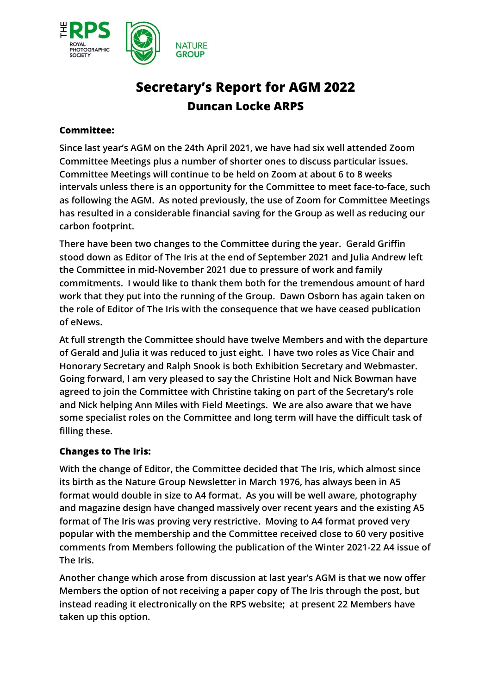

# **Secretary's Report for AGM 2022 Duncan Locke ARPS**

### **Committee:**

**Since last year's AGM on the 24th April 2021, we have had six well attended Zoom Committee Meetings plus a number of shorter ones to discuss particular issues. Committee Meetings will continue to be held on Zoom at about 6 to 8 weeks intervals unless there is an opportunity for the Committee to meet face-to-face, such as following the AGM. As noted previously, the use of Zoom for Committee Meetings has resulted in a considerable financial saving for the Group as well as reducing our carbon footprint.**

**There have been two changes to the Committee during the year. Gerald Griffin stood down as Editor of The Iris at the end of September 2021 and Julia Andrew left the Committee in mid-November 2021 due to pressure of work and family commitments. I would like to thank them both for the tremendous amount of hard work that they put into the running of the Group. Dawn Osborn has again taken on the role of Editor of The Iris with the consequence that we have ceased publication of eNews.**

**At full strength the Committee should have twelve Members and with the departure of Gerald and Julia it was reduced to just eight. I have two roles as Vice Chair and Honorary Secretary and Ralph Snook is both Exhibition Secretary and Webmaster. Going forward, I am very pleased to say the Christine Holt and Nick Bowman have agreed to join the Committee with Christine taking on part of the Secretary's role and Nick helping Ann Miles with Field Meetings. We are also aware that we have some specialist roles on the Committee and long term will have the difficult task of filling these.** 

## **Changes to The Iris:**

**With the change of Editor, the Committee decided that The Iris, which almost since its birth as the Nature Group Newsletter in March 1976, has always been in A5 format would double in size to A4 format. As you will be well aware, photography and magazine design have changed massively over recent years and the existing A5 format of The Iris was proving very restrictive. Moving to A4 format proved very popular with the membership and the Committee received close to 60 very positive comments from Members following the publication of the Winter 2021-22 A4 issue of The Iris.**

**Another change which arose from discussion at last year's AGM is that we now offer Members the option of not receiving a paper copy of The Iris through the post, but instead reading it electronically on the RPS website; at present 22 Members have taken up this option.**